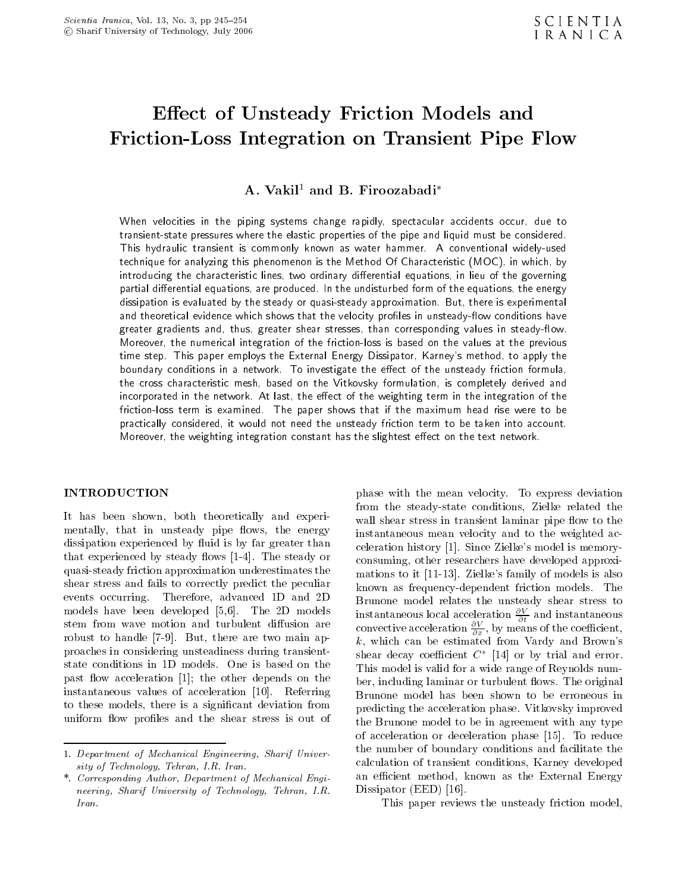# $E$  . The United States of United States and Models and Models and Models and Models and Models and Models and Models Friction-Loss Integration on Transient Pipe Flow

A. Vakil<sup>1</sup> and B. Firoozabadi<sup>\*</sup>

When velocities in the piping systems change rapidly, spectacular accidents occur, due to transient-state pressures where the elastic properties of the pipe and liquid must be considered. This hydraulic transient is commonly known as water hammer. <sup>A</sup> conventional widely-used technique for analyzing this phenomenon is the Method Of Characteristic (MOC), in which, by introducing the characteristic lines, two ordinary differential equations, in lieu of the governing partial differential equations, are produced. In the undisturbed form of the equations, the energy dissipation is evaluated by the steady or quasi-steady approximation. But, there is experimental and theoretical evidence which shows that the velocity profiles in unsteady-flow conditions have greater gradients and, thus, greater shear stresses, than corresponding values in steady-flow. Moreover, the numerical integration of the friction-loss is based on the values at the previous time step. This paper employs the External Energy Dissipator, Karney's method, to apply the boundary conditions in a network. To investigate the effect of the unsteady friction formula, the cross characteristic mesh, based on the Vitkovsky formulation, is completely derived and incorporated in the network. At last, the effect of the weighting term in the integration of the friction-loss term is examined. The paper shows that if the maximum head rise were to be practically considered, it would not need the unsteady friction term to be taken into account. Moreover, the weighting integration constant has the slightest effect on the text network.

#### INTRODUCTION

It has been shown, both theoretically and experimentally, that in unsteady pipe flows, the energy dissipation experienced by fluid is by far greater than that experienced by steady flows  $[1-4]$ . The steady or quasi-steady friction approximation underestimates the shear stress and fails to correctly predict the peculiar events occurring. Therefore, advanced 1D and 2D models have been developed [5,6]. The 2D models stem from wave motion and turbulent diffusion are robust to handle [7-9]. But, there are two main approaches in considering unsteadiness during transientstate conditions in 1D models. One is based on the past flow acceleration  $[1]$ ; the other depends on the instantaneous values of acceleration [10]. Referring to these models, there is <sup>a</sup> signicant deviation from uniform flow profiles and the shear stress is out of phase with the mean velocity. To express deviation from the steady-state conditions, Zielke related the wall shear stress in transient laminar pipe flow to the instantaneous mean velocity and to the weighted acceleration history [1]. Since Zielke's model is memoryconsuming, other researchers have developed approximations to it [11-13]. Zielke's family of models is also known as frequency-dependent friction models. The Brunone model relates the unsteady shear stress to instantaneous local acceleration  $\frac{\partial}{\partial t}$  and instantaneous convective acceleration  $\frac{1}{\partial x}$ , by means of the coefficient, k, which can be estimated from Vardy and Brown's  $s$ near decay coemicient C  $_{\rm{[14]}}$  or by trial and error. This model is valid for a wide range of Reynolds number, including laminar or turbulent flows. The original Brunone model has been shown to be erroneous in predicting the acceleration phase. Vitkovsky improved the Brunone model to be in agreement with any type of acceleration or deceleration phase [15]. To reduce the number of boundary conditions and facilitate the calculation of transient conditions, Karney developed an efficient method, known as the External Energy Dissipator (EED) [16].

This paper reviews the unsteady friction model,

<sup>1.</sup> Department of Mechanical Engineering, Sharif University of Technology, Tehran, I.R. Iran.

<sup>\*.</sup> Corresponding Author, Department of Mechanical Engineering, Sharif University of Technology, Tehran, I.R. Iran.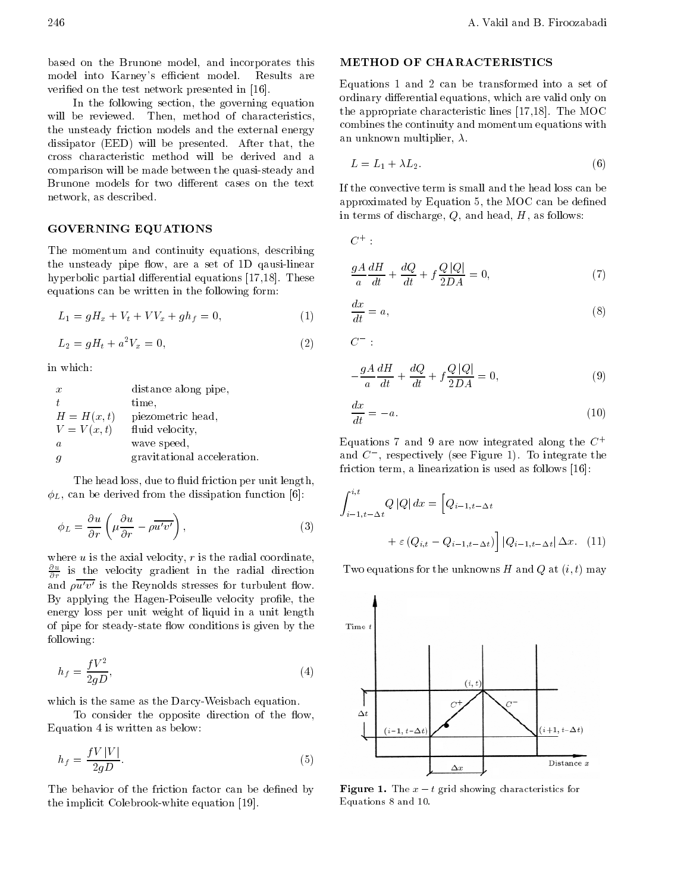based on the Brunone model, and incorporates this model into Karney's efficient model. Results are veried on the test network presented in [16].

In the following section, the governing equation will be reviewed. Then, method of characteristics, the unsteady friction models and the external energy dissipator (EED) will be presented. After that, the cross characteristic method will be derived and <sup>a</sup> comparison will be made between the quasi-steady and Brunone models for two different cases on the text network, as described.

# GOVERNING EQUATIONS

The momentum and continuity equations, describing the unsteady pipe flow, are a set of 1D qausi-linear hyperbolic partial differential equations  $[17,18]$ . These equations can be written in the following form:

$$
L_1 = gH_x + V_t + VV_x + gh_f = 0,\t\t(1)
$$

$$
L_2 = gH_t + a^2 V_x = 0,\t\t(2)
$$

in which:

| $\boldsymbol{x}$ | distance along pipe,        |
|------------------|-----------------------------|
| Ŧ                | time,                       |
| $H = H(x,t)$     | piezometric head,           |
| $V = V(x, t)$    | fluid velocity,             |
| a.               | wave speed,                 |
|                  | gravitational acceleration. |

The head loss, due to fluid friction per unit length,  $\phi_L$ , can be derived from the dissipation function [6]:

$$
\phi_L = \frac{\partial u}{\partial r} \left( \mu \frac{\partial u}{\partial r} - \rho \overline{u'v'} \right),\tag{3}
$$

where  $u$  is the axial velocity,  $r$  is the radial coordinate,  $\frac{1}{2}$  is the velocity gradient in the radial direction  $\cdots$ and  $\overline{\rho u'v'}$  is the Reynolds stresses for turbulent flow. By applying the Hagen-Poiseulle velocity profile, the energy loss per unit weight of liquid in <sup>a</sup> unit length of pipe for steady-state flow conditions is given by the following:

$$
h_f = \frac{fV^2}{2gD},\tag{4}
$$

which is the same as the Darcy-Weisbach equation.

To consider the opposite direction of the flow, Equation 4 is written as below:

$$
h_f = \frac{fV|V|}{2qD}.\tag{5}
$$

The behavior of the friction factor can be defined by the implicit Colebrook-white equation [19].

# METHOD OF CHARACTERISTICS

Equations <sup>1</sup> and <sup>2</sup> can be transformed into <sup>a</sup> set of ordinary differential equations, which are valid only on the appropriate characteristic lines [17,18]. The MOC combines the continuity and momentum equations with an unknown multiplier,  $\lambda$ .

$$
L = L_1 + \lambda L_2. \tag{6}
$$

If the convective term is small and the head loss can be approximated by Equation 5, the MOC can be defined in terms of discharge,  $Q$ , and head,  $H$ , as follows:

 $C^+$ :

$$
\frac{gA}{a}\frac{dH}{dt} + \frac{dQ}{dt} + f\frac{Q|Q|}{2DA} = 0,\t(7)
$$

$$
\frac{dx}{dt} = a,\tag{8}
$$

 $C$  :

$$
\frac{gA}{a}\frac{dH}{dt} + \frac{dQ}{dt} + f\frac{Q|Q|}{2DA} = 0,\tag{9}
$$

$$
\frac{dx}{dt} = a.\tag{10}
$$

Equations 7 and 9 are now integrated along the  $C^+$ and  $C$ , respectively (see Figure 1). To integrate the friction term, a linearization is used as follows [16]:

$$
\int_{i-1,t}^{i,t} Q |Q| dx = \left[ Q_{i-1,t} \Delta t
$$
  
+  $\varepsilon (Q_{i,t} - Q_{i-1,t} \Delta t) \right] |Q_{i-1,t} \Delta t| \Delta x.$  (11)

Two equations for the unknowns H and Q at  $(i, t)$  may



 $\mathbf{F}$  -  $\mathbf{F}$  are  $\mathbf{F}$  to  $\mathbf{F}$  the showing characteristics for  $\mathbf{F}$ Equations 8 and 10.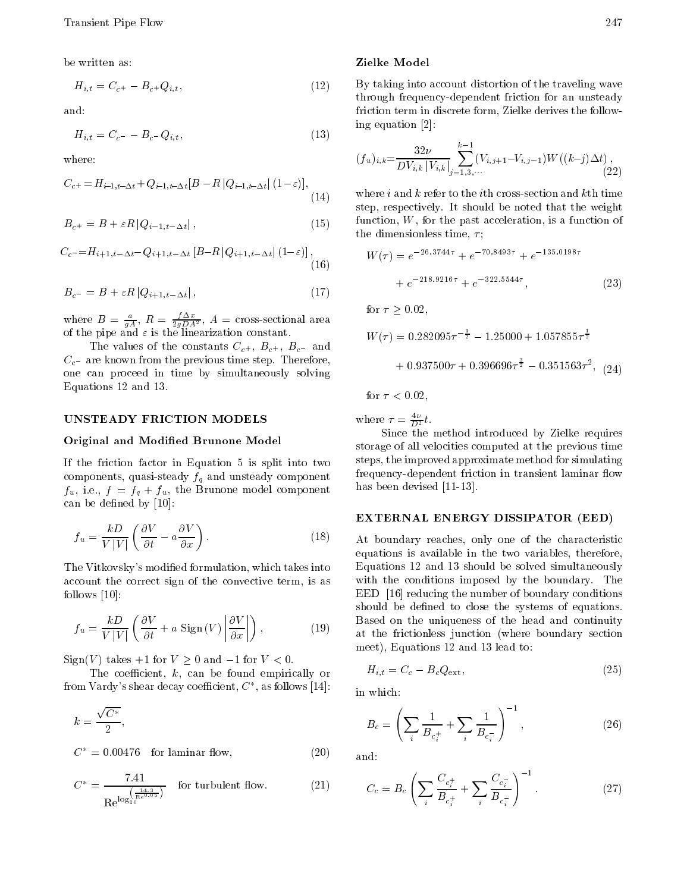be written as:

$$
H_{i,t} = C_{c^{+}} \t B_{c^{+}} Q_{i,t}, \t (12) \t B_{c^{+}}
$$

and:

$$
H_{i,t} = C_c \qquad B_c \quad Q_{i,t}, \tag{13}
$$

where:

$$
C_{c^{+}} = H_{i-1,t} \Delta t + Q_{i-1,t} \Delta t [B \quad R \left| Q_{i-1,t} \Delta t \right| (1 - \varepsilon)], \tag{14}
$$

$$
B_{c^{+}} = B + \varepsilon R \left| Q_{i-1,t} \Delta t \right|, \tag{15}
$$

$$
C_c = H_{i+1,t} \Delta t \quad Q_{i+1,t} \Delta t \left[ B \quad R \left| Q_{i+1,t} \Delta t \right| (1 - \varepsilon) \right], \tag{16}
$$

$$
B_c = B + \varepsilon R \left| Q_{i+1,t} \Delta t \right|,\tag{17}
$$

where  $B = \frac{a}{qA}$ ,  $K = \frac{1}{2qDA^2}$ ,  $A = \text{cross-sectional area}$ of the pipe and is the linear indication constant.

The values of the constants  $C_{c^+}$ ,  $B_{c^+}$ ,  $B_c$  and  $C_c$  are known from the previous time step. Therefore, one can proceed in time by simultaneously solving Equations 12 and 13.

#### UNSTEADY FRICTION MODELS

## Original and Modied Brunone Model

If the friction factor in Equation <sup>5</sup> is split into two components, quasi-steady  $f_q$  and unsteady component  $f_u$ , i.e.,  $f = f_q + f_u$ , the Brunone model component can be defined by [10]:

$$
f_u = \frac{kD}{V|V|} \left( \frac{\partial V}{\partial t} \quad a \frac{\partial V}{\partial x} \right). \tag{18}
$$

The Vitkovsky's modied formulation, which takes into account the correct sign of the convective term, is as follows [10]:

$$
f_u = \frac{kD}{V|V|} \left( \frac{\partial V}{\partial t} + a \text{ Sign}(V) \left| \frac{\partial V}{\partial x} \right| \right), \tag{19}
$$

 $Sign(V)$  takes  $+1$  for  $V \geq 0$  and 1 for  $V < 0$ .

The coefficient,  $k$ , can be found empirically or from Vardy's shear decay coefficient,  $C^\ast$ , as follows [14]:

$$
k = \frac{\sqrt{C^*}}{2},
$$

$$
C^* = 0.00476 \quad \text{for laminar flow}, \tag{20}
$$

$$
C^* = \frac{7.41}{\text{Re}^{\log\left(\frac{14.3}{10}\right)}} \quad \text{for turbulent flow.} \tag{21}
$$

#### Zielke Model

By taking into account distortion of the traveling wave through frequency-dependent friction for an unsteady friction term in discrete form, Zielke derives the following equation [2]:

$$
(f_u)_{i,k} = \frac{32\nu}{DV_{i,k} |V_{i,k}|} \sum_{j=1,3,\cdots}^{k-1} (V_{i,j+1} | V_{i,j-1}) W((k j) \Delta t), \tag{22}
$$

where i and  $k$  refer to the ith cross-section and  $k$ th time step, respectively. It should be noted that the weight function, W, for the past acceleration, is a function of the dimensionless time,  $\tau$ ;

$$
W(\tau) = e^{-26.3744\tau} + e^{-70.8493\tau} + e^{-135.0198\tau}
$$

$$
+ e^{-218.9216\tau} + e^{-322.5544\tau}, \qquad (23)
$$
  
for  $\tau \ge 0.02$ ,

was at 200 minutes and the set of the set of the set of the set of the set of the set of the set of the set of  $\frac{1}{2}$  1 25000 + 1 057855 $\tau$ <sup>2</sup> 1:25000 + 1:057855

 $+0.937500\tau+0.396696\tau^{\frac{1}{2}}$   $0.351563\tau^2$ ,  $(24)$ 

for  $\tau < 0.02$ .

where  $\tau = \frac{1}{D^2} t$ .

Since the method introduced by Zielke requires storage of all velocities computed at the previous time steps, the improved approximate method for simulating frequency-dependent friction in transient laminar flow has been devised [11-13].

## EXTERNAL ENERGY DISSIPATOR (EED)

At boundary reaches, only one of the characteristic equations is available in the two variables, therefore, Equations 12 and <sup>13</sup> should be solved simultaneously with the conditions imposed by the boundary. The EED [16] reducing the number of boundary conditions should be defined to close the systems of equations. Based on the uniqueness of the head and continuity at the frictionless junction (where boundary section meet), Equations 12 and 13 lead to:

$$
H_{i,t} = C_c \t B_c Q_{\text{ext}}, \t(25)
$$

in which:

$$
B_c = \left(\sum_i \frac{1}{B_{c_i^+}} + \sum_i \frac{1}{B_{c_i}}\right)^{-1},\tag{26}
$$

and:

$$
C_c = B_c \left( \sum_i \frac{C_{c_i^+}}{B_{c_i^+}} + \sum_i \frac{C_{c_i}}{B_{c_i}} \right)^{-1}.
$$
 (27)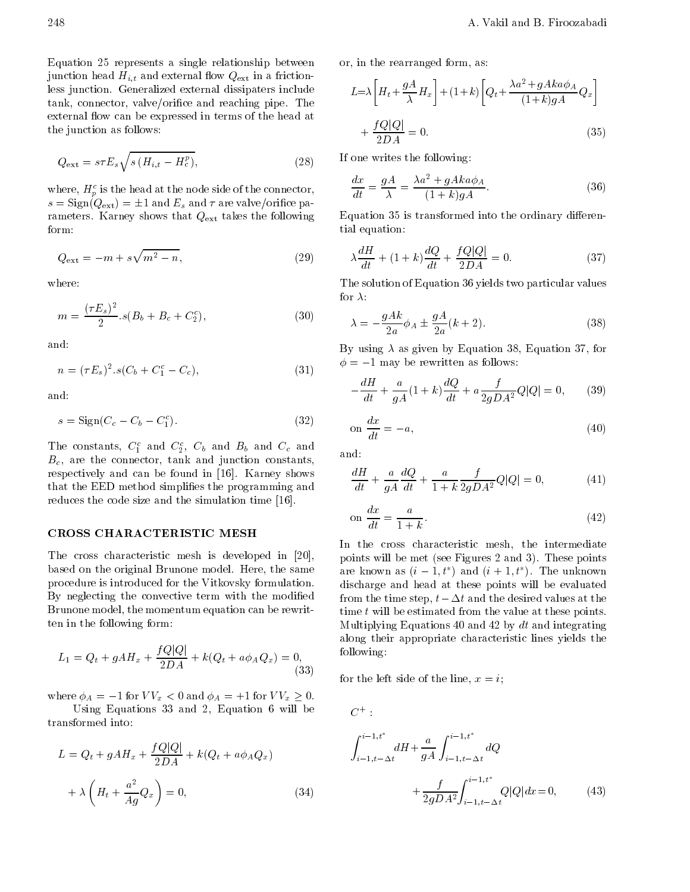Equation <sup>25</sup> represents <sup>a</sup> single relationship between junction head  $H_{i,t}$  and external flow  $Q_{\text{ext}}$  in a frictionless junction. Generalized external dissipaters include tank, connector, valve/orifice and reaching pipe. The external flow can be expressed in terms of the head at the junction as follows:

$$
Q_{\text{ext}} = s\tau E_s \sqrt{s \left(H_{i,t} - H_c^p\right)},\tag{28}
$$

where,  $H_p^c$  is the head at the node side of the connector,  $s = \text{Sign}(Q_{\text{ext}}) = \pm 1$  and  $E_s$  and  $\tau$  are valve/orifice parameters. Karney shows that Qext takes the following form:

$$
Q_{\text{ext}} = m + s\sqrt{m^2 - n},\tag{29}
$$

where:

$$
m = \frac{(\tau E_s)^2}{2} s(B_b + B_c + C_2^c), \tag{30}
$$

and:

$$
n = (\tau E_s)^2 . s(C_b + C_1^c C_c), \tag{31}
$$

and:

$$
s = \text{Sign}(C_c \quad C_b \quad C_1^c). \tag{32}
$$

The constants,  $C_1$  and  $C_2$ ,  $C_b$  and  $B_b$  and  $C_c$  and  $C_{c-1}$ ,  $B<sub>c</sub>$ , are the connector, tank and junction constants, respectively and can be found in [16]. Karney shows that the EED method simplifies the programming and reduces the code size and the simulation time [16].

# CROSS CHARACTERISTIC MESH

The cross characteristic mesh is developed in [20], based on the original Brunone model. Here, the same procedure is introduced for the Vitkovsky formulation. By neglecting the convective term with the modified Brunone model, the momentum equation can be rewritten in the following form:

$$
L_1 = Q_t + gAH_x + \frac{fQ|Q|}{2DA} + k(Q_t + a\phi_A Q_x) = 0,
$$
\n(33)

where  $\phi_A = 1$  for  $VV_x < 0$  and  $\phi_A = +1$  for  $VV_x \geq 0$ .

Using Equations <sup>33</sup> and 2, Equation <sup>6</sup> will be

$$
L = Q_t + gAH_x + \frac{fQ|Q|}{2DA} + k(Q_t + a\phi_A Q_x)
$$

$$
+ \lambda \left(H_t + \frac{a^2}{Ag} Q_x\right) = 0,
$$
(34)

or, in the rearranged form, as:

$$
L = \lambda \left[ H_t + \frac{gA}{\lambda} H_x \right] + (1+k) \left[ Q_t + \frac{\lambda a^2 + gAka\phi_A}{(1+k)gA} Q_x \right]
$$

$$
+ \frac{fQ|Q|}{2DA} = 0.
$$
(35)

If one writes the following:

$$
\frac{dx}{dt} = \frac{gA}{\lambda} = \frac{\lambda a^2 + gAka\phi_A}{(1+k)gA}.
$$
 (36)

Equation 35 is transformed into the ordinary differential equation:

$$
\lambda \frac{dH}{dt} + (1+k)\frac{dQ}{dt} + \frac{fQ|Q|}{2DA} = 0.
$$
\n(37)

The solution of Equation 36 yields two particular values for  $\lambda$ :

$$
\lambda = \frac{gAk}{2a}\phi_A \pm \frac{gA}{2a}(k+2). \tag{38}
$$

By using  $\lambda$  as given by Equation 38, Equation 37, for  $\phi = 1$  may be rewritten as follows:

$$
\frac{dH}{dt} + \frac{a}{gA}(1+k)\frac{dQ}{dt} + a\frac{f}{2gDA^2}Q|Q| = 0, \qquad (39)
$$

$$
on \frac{dx}{dt} = a,
$$
\n(40)

and:

$$
\frac{dH}{dt} + \frac{a}{gA}\frac{dQ}{dt} + \frac{a}{1+k}\frac{f}{2gDA^2}Q|Q| = 0,
$$
\n(41)

$$
\text{on } \frac{dx}{dt} = \frac{a}{1+k}.\tag{42}
$$

In the cross characteristic mesh, the intermediate points will be met (see Figures 2 and 3). These points are known as  $(i = 1, i \neq 1$  and  $(i + 1, i \neq 1)$ . The unknown discharge and head at these points will be evaluated from the time step,  $t \Delta t$  and the desired values at the time  $t$  will be estimated from the value at these points. Multiplying Equations 40 and 42 by  $dt$  and integrating along their appropriate characteristic lines yields the following:

 $\sum_{i=1}^{\infty}$  for the left side of the line,  $x = i$ ;

 $\mathbf{C}$  :  $\mathbf{C}$  :  $\mathbf{C}$  :  $\mathbf{C}$ 

$$
\int_{i}^{i} \frac{1,t^*}{1,t} dH + \frac{a}{gA} \int_{i}^{i} \frac{1,t^*}{1,t} dQ + \frac{f}{2gDA^2} \int_{i}^{i} \frac{1,t^*}{1,t} Q|Q| dx = 0, \qquad (43)
$$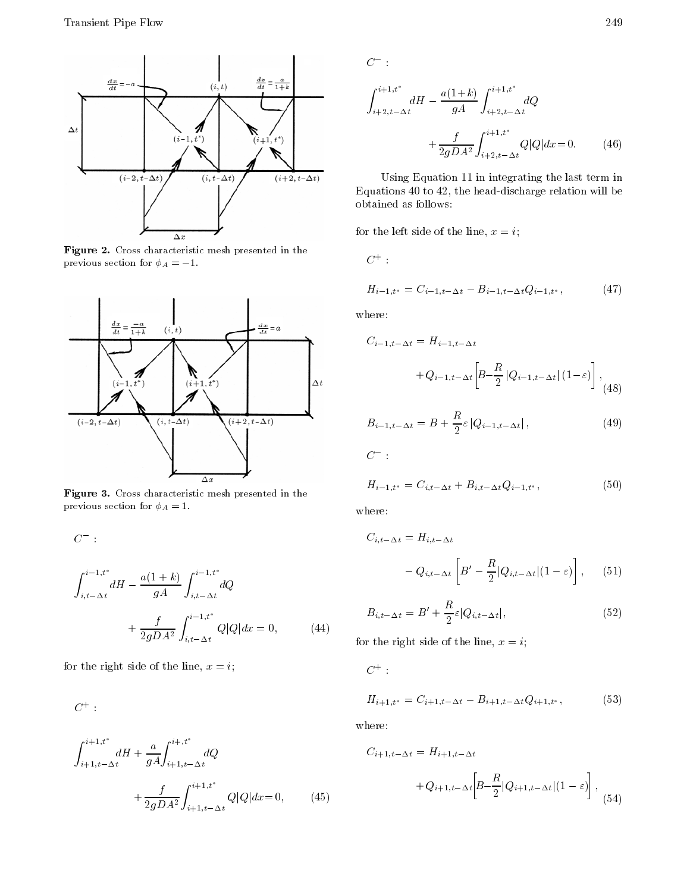

Figure 2. Cross characteristic mesh presented in the previous section for  $\phi_A = 1$ .



Figure 3. Cross characteristic mesh presented in the previous section for  $\phi_A = 1$ .

 ${\cal C}$  :  $\mathcal{C}$  i  $\mathcal{C}$  is the set of  $\mathcal{C}$  is the set of  $\mathcal{C}$  is the set of  $\mathcal{C}$  $\cdot$  to the term of the term of the term of the term of the term of the term of the term of the term of the term of the term of the term of the term of the term of the term of the term of the term of the term of the term  $dH = \frac{Q}{qA} \int_{i,t} dQ$  $\mathbf{r}$  i.t  $\cdot$  to the term of the term of the term of the term of the term of the term of the term of the term of the term of the term of the term of the term of the term of the term of the term of the term of the term of the term distribution of the contract of the contract of the contract of the contract of the contract of the contract of  $+\ \frac{f}{2gDA^2}\int_{i,t}^{i=1,t} \frac{1}{\Delta t} \ Q|Q|d$  $\mathcal{A}$  , and  $\mathcal{A}$  are defined as a definition of  $\mathcal{A}$  . The operator of  $\mathcal{A}$ 

for the right side of the line,  $x = i$ ;

 $\mathbf{C}$  : the set of  $\mathbf{C}$ 

$$
\int_{i+1,t}^{i+1,t^*} dH + \frac{a}{gA} \int_{i+1,t}^{i+,t^*} dQ
$$
  
+ 
$$
\frac{f}{2gDA^2} \int_{i+1,t}^{i+1,t^*} Q|Q| dx = 0,
$$
 (45)

 ${\cal C}$  :

$$
\int_{i+2,t}^{i+1,t^*} dH \frac{a(1+k)}{gA} \int_{i+2,t}^{i+1,t^*} dQ
$$
  
+ 
$$
\frac{f}{2gDA^2} \int_{i+2,t}^{i+1,t^*} Q|Q| dx = 0.
$$
 (46)

Using Equation 11 in integrating the last term in Equations 40 to 42, the head-discharge relation will be obtained as follows:

for the left side of the line,  $x = i$ ;

$$
C^+:
$$

$$
H_{i-1,t^*} = C_{i-1,t-2t} \quad B_{i-1,t-2t} Q_{i-1,t^*}, \tag{47}
$$

where:

$$
C_{i-1,t} \Delta t = H_{i-1,t} \Delta t
$$
  
+ $Q_{i-1,t} \Delta t \left[ B - \frac{R}{2} |Q_{i-1,t} \Delta t | (1 - \varepsilon) \right],$  (48)

$$
B_{i-1,t-\Delta t} = B + \frac{R}{2} \varepsilon |Q_{i-1,t-\Delta t}|, \qquad (49)
$$

$$
C =
$$

$$
H_{i-1,t^*} = C_{i,t-2t} + B_{i,t-2t} Q_{i-1,t^*},
$$
\n(50)

where:

$$
C_{i,t} \Delta t = H_{i,t} \Delta t
$$
  

$$
Q_{i,t} \Delta t \begin{bmatrix} B' & \frac{R}{2} |Q_{i,t} \Delta t| (1 - \varepsilon) \end{bmatrix}, \quad (51)
$$

$$
B_{i,t} \Delta_t = B' + \frac{R}{2} \varepsilon |Q_{i,t} \Delta_t|, \qquad (52)
$$

for the right side of the line,  $x = i$ ;

 $\mathbf{C}$  : the contract of  $\mathbf{C}$ 

$$
H_{i+1,t^*} = C_{i+1,t} \Delta t \quad B_{i+1,t} \Delta t Q_{i+1,t^*}, \tag{53}
$$

where:

$$
C_{i+1,t} \Delta t = H_{i+1,t} \Delta t
$$
  
+
$$
Q_{i+1,t} \Delta t \left[ B \frac{R}{2} |Q_{i+1,t} \Delta t | (1 - \varepsilon) \right],
$$
(54)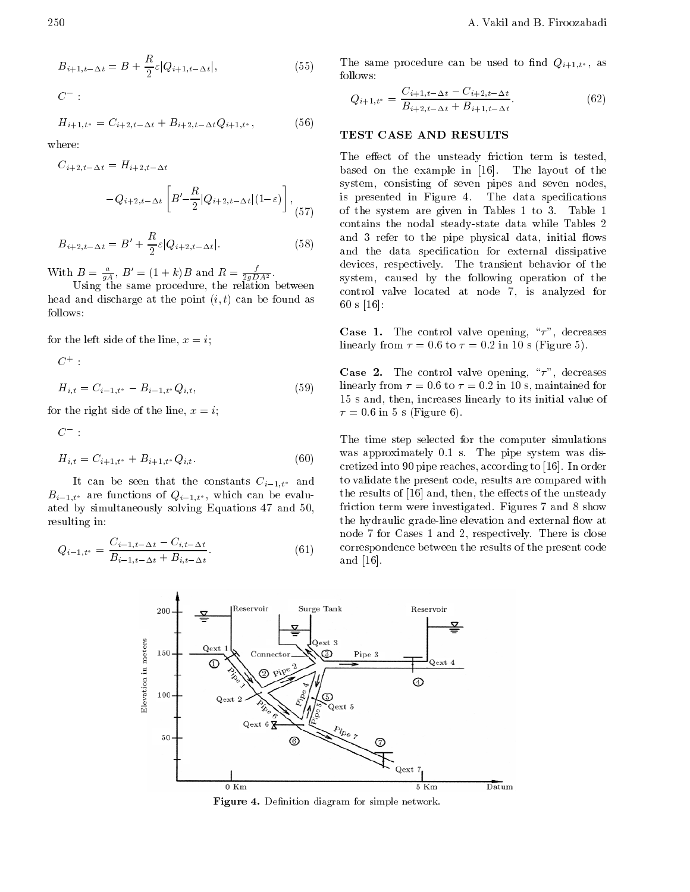$C$  :

$$
H_{i+1,t^*} = C_{i+2,t} \Delta_t + B_{i+2,t} \Delta_t Q_{i+1,t^*},
$$
 (56)

where:

$$
C_{i+2,t} \Delta t = H_{i+2,t} \Delta t
$$
 b  
\n
$$
Q_{i+2,t} \Delta t \begin{bmatrix} B' & \frac{R}{2} |Q_{i+2,t} \Delta t |(1-\varepsilon)] \\ 0 & 0 \end{bmatrix},
$$
 is  
\n
$$
(57)
$$

$$
B_{i+2,t} \Delta_t = B' + \frac{R}{2} \varepsilon |Q_{i+2,t} \Delta_t|.
$$
 (58)

With  $B = \frac{a}{gA}$ ,  $B' = (1 + \kappa)B$  and  $R = \frac{b}{2gDA^2}$ .

Using the same procedure, the relation between head and discharge at the point  $(i, t)$  can be found as follows:

for the left side of the line,  $x = i$ ;

$$
H_{i,t} = C_{i-1,t^*} \quad B_{i-1,t^*} Q_{i,t},
$$
\n(59)

for the right side of the line,  $x = i$ ;

 $C$  :

 $C^+$ :

$$
H_{i,t} = C_{i+1,t^*} + B_{i+1,t^*} Q_{i,t}.
$$
\n(60)

It can be seen that the constants  $C_{i-1,t^*}$  and  $B_{i-1,t^*}$  are functions of  $Q_{i-1,t^*}$ , which can be evaluated by simultaneously solving Equations <sup>47</sup> and 50, resulting in:

$$
Q_{i-1,t^*} = \frac{C_{i-1,t} \Delta t - C_{i,t} \Delta t}{B_{i-1,t} \Delta t + B_{i,t} \Delta t}.
$$
 (61)

The same procedure can be used to find  $Q_{i+1,t^*}$ , as follows:

$$
Q_{i+1,t^*} = \frac{C_{i+1,t} \Delta t \ C_{i+2,t} \Delta t}{B_{i+2,t} \Delta t + B_{i+1,t} \Delta t}.
$$
 (62)

## TEST CASE AND RESULTS

The effect of the unsteady friction term is tested, based on the example in [16]. The layout of the system, consisting of seven pipes and seven nodes, is presented in Figure 4. The data specifications of the system are given in Tables <sup>1</sup> to 3. Table <sup>1</sup> contains the nodal steady-state data while Tables <sup>2</sup> and 3 refer to the pipe physical data, initial flows and the data specification for external dissipative devices, respectively. The transient behavior of the system, caused by the following operation of the control valve located at node 7, is analyzed for <sup>60</sup> s [16]:

**Case 1.** The control valve opening, " $\tau$ ", decreases linearly from  $\tau = 0.6$  to  $\tau = 0.2$  in 10 s (Figure 5).

**Case 2.** The control valve opening, " $\tau$ ", decreases linearly from  $\tau = 0.6$  to  $\tau = 0.2$  in 10 s, maintained for <sup>15</sup> s and, then, increases linearly to its initial value of  $\tau = 0.6$  in 5 s (Figure 6).

The time step selected for the computer simulations was approximately 0.1 s. The pipe system was discretized into 90 pipe reaches, according to [16]. In order to validate the present code, results are compared with the results of [16] and, then, the effects of the unsteady friction term were investigated. Figures 7 and 8 show the hydraulic grade-line elevation and external flow at node 7 for Cases 1 and 2, respectively. There is close correspondence between the results of the present code and [16].



Figure 4. Denition diagram for simple network.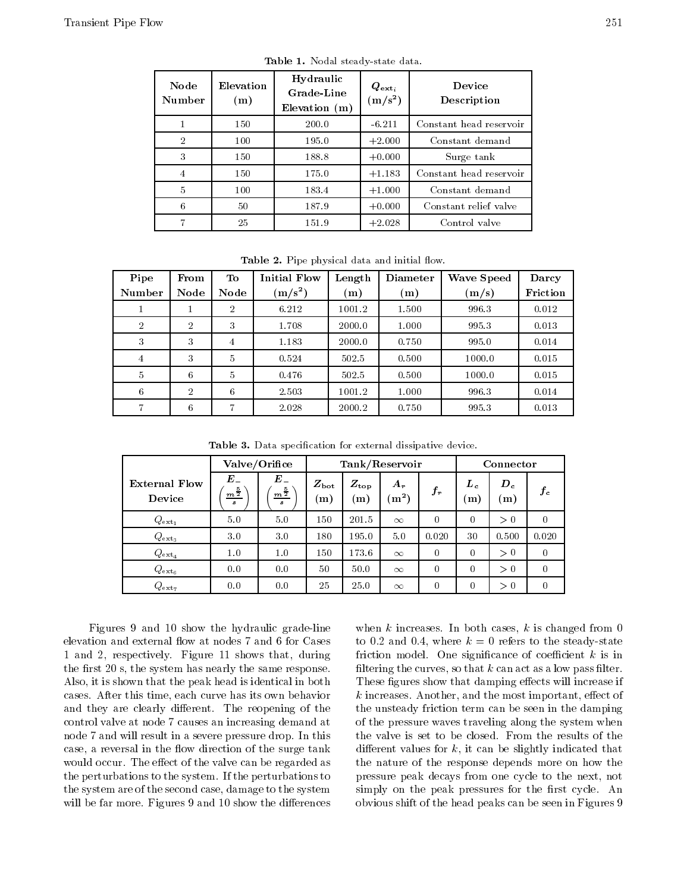| Node<br>Number | Elevation<br>(m) | Hydraulic<br><b>Grade Line</b><br>Elevation $(m)$ | $\boldsymbol{Q}_{\mathbf{ext}_i}$<br>$(m/s^2)$ | Device<br>Description   |
|----------------|------------------|---------------------------------------------------|------------------------------------------------|-------------------------|
|                | 150              | 200.0                                             | $-6.211$                                       | Constant head reservoir |
| $\mathfrak{D}$ | 100              | 195.0                                             | $+2.000$                                       | Constant demand         |
| 3              | 150              | 188.8                                             | $+0.000$                                       | Surge tank              |
| 4              | 150              | 175.0                                             | $+1.183$                                       | Constant head reservoir |
| 5              | 100              | 183.4                                             | $+1.000$                                       | Constant demand         |
| 6              | 50               | 187.9                                             | $+0.000$                                       | Constant relief valve   |
|                | 25               | 151.9                                             | $+2.028$                                       | Control valve           |

Table 1. Nodal steady-state data.

**Table 2.** Tipe physical data and initial now.

| Pipe           | From           | To.            | <b>Initial Flow</b> | Length         | <b>Diameter</b> | <b>Wave Speed</b> | Darcy    |
|----------------|----------------|----------------|---------------------|----------------|-----------------|-------------------|----------|
| Number         | Node           | Node           | $\rm (m/s^2)$       | $\mathbf{(m)}$ | (m)             | (m/s)             | Friction |
| т              | ш              | 2              | 6.212               | 1001.2         | 1.500           | 996.3             | 0.012    |
| $\overline{2}$ | $\overline{2}$ | 3              | 1.708               | 2000.0         | 1.000           | 995.3             | 0.013    |
| 3              | 3              | 4              | 1.183               | 2000.0         | 0.750           | 995.0             | 0.014    |
| 4              | 3              | $\overline{5}$ | 0.524               | 502.5          | 0.500           | 1000.0            | 0.015    |
| $\overline{5}$ | 6              | 5              | 0.476               | 502.5          | 0.500           | 1000.0            | 0.015    |
| 6              | $\overline{2}$ | 6              | 2.503               | 1001.2         | 1.000           | 996.3             | 0.014    |
| 7              | 6              | 7              | 2.028               | 2000.2         | 0.750           | 995.3             | 0.013    |

Table 3. Data specication for external dissipative device.

|                                | Valve/Orifice               |                         | Tank/Reservoir      |                     |                               |          | Connector  |              |          |
|--------------------------------|-----------------------------|-------------------------|---------------------|---------------------|-------------------------------|----------|------------|--------------|----------|
| <b>External Flow</b><br>Device | E<br>$m^{\frac{5}{2}}$<br>s | E<br>$\frac{1}{2}$<br>s | $Z_{\rm bot}$<br>m) | $Z_{\rm top}$<br>m) | $A_{r}$<br>$\rm\acute{m}^{2}$ | $f_r$    | $L_c$<br>m | $D_c$<br>(m) | $f_c$    |
| $Q_{\texttt{ext}_1}$           | 5.0                         | 5.0                     | 150                 | 201.5               | $\infty$                      | $\theta$ | $\theta$   | > 0          | $\theta$ |
| $Q_{\text{ext}_3}$             | 3.0                         | 3.0                     | 180                 | 195.0               | 5.0                           | 0.020    | 30         | 0.500        | 0.020    |
| $Q_{\mathtt{ext}_4}$           | 1.0                         | 1.0                     | 150                 | 173.6               | $\infty$                      | $\theta$ | $\theta$   | > 0          | $\Omega$ |
| $Q_{\rm ext_6}$                | 0.0                         | 0.0                     | 50                  | 50.0                | $\infty$                      | $\theta$ | $\theta$   | > 0          | $\Omega$ |
| $Q_{\tt ext_7}$                | 0.0                         | 0.0                     | 25                  | 25.0                | $\infty$                      | $\theta$ | $\theta$   | > 0          | $\theta$ |

Figures <sup>9</sup> and <sup>10</sup> show the hydraulic grade-line elevation and external flow at nodes 7 and 6 for Cases <sup>1</sup> and 2, respectively. Figure <sup>11</sup> shows that, during the first 20 s, the system has nearly the same response. Also, it is shown that the peak head is identical in both cases. After this time, each curve has its own behavior and they are clearly different. The reopening of the control valve at node 7 causes an increasing demand at node 7 and will result in a severe pressure drop. In this case, a reversal in the flow direction of the surge tank would occur. The effect of the valve can be regarded as the perturbations to the system. If the perturbations to the system are of the second case, damage to the system will be far more. Figures 9 and 10 show the differences

when  $k$  increases. In both cases,  $k$  is changed from 0 to 0.2 and 0.4, where  $k = 0$  refers to the steady-state friction model. One significance of coefficient  $k$  is in filtering the curves, so that  $k$  can act as a low pass filter. These figures show that damping effects will increase if  $k$  increases. Another, and the most important, effect of the unsteady friction term can be seen in the damping of the pressure waves traveling along the system when the valve is set to be closed. From the results of the different values for  $k$ , it can be slightly indicated that the nature of the response depends more on how the pressure peak decays from one cycle to the next, not simply on the peak pressures for the first cycle. An obvious shift of the head peaks can be seen in Figures 9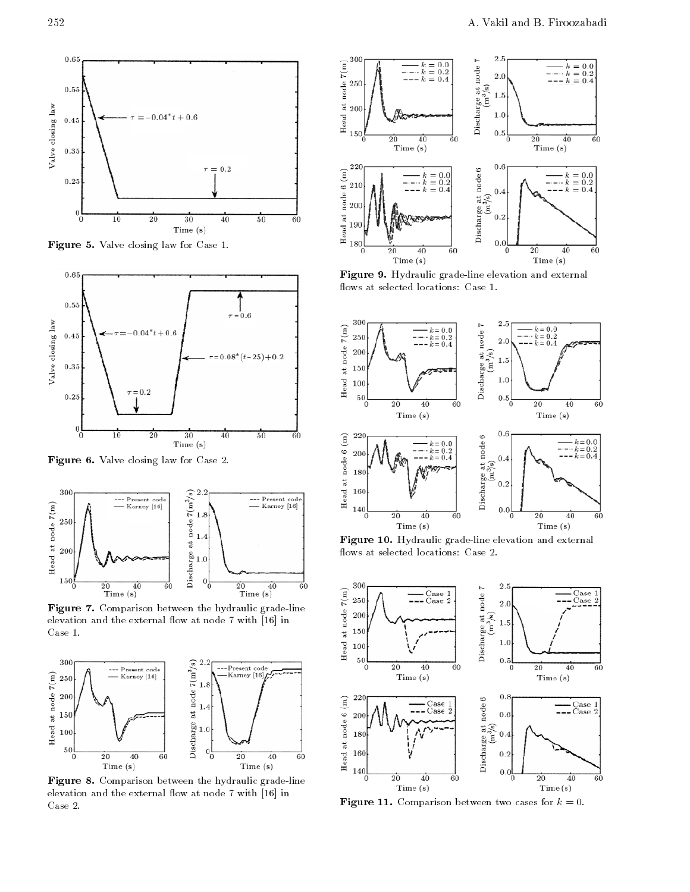

 $\blacksquare$  is the set of  $\blacksquare$  . It is considered to the  $\blacksquare$ 



Figure 6. Valve closing law for Case 2.



Figure 7. Comparison between the hydraulic grade-line elevation and the external flow at node  $7$  with  $[16]$  in Case 1.



Figure 8. Comparison between the hydraulic grade-line elevation and the external flow at node  $7$  with  $[16]$  in Case 2.



Figure 9. Hydraulic grade-line elevation and external flows at selected locations: Case 1.



Figure 10. Hydraulic grade-line elevation and external flows at selected locations: Case 2.



Figure 11. Comparison between two cases for <sup>k</sup> = 0.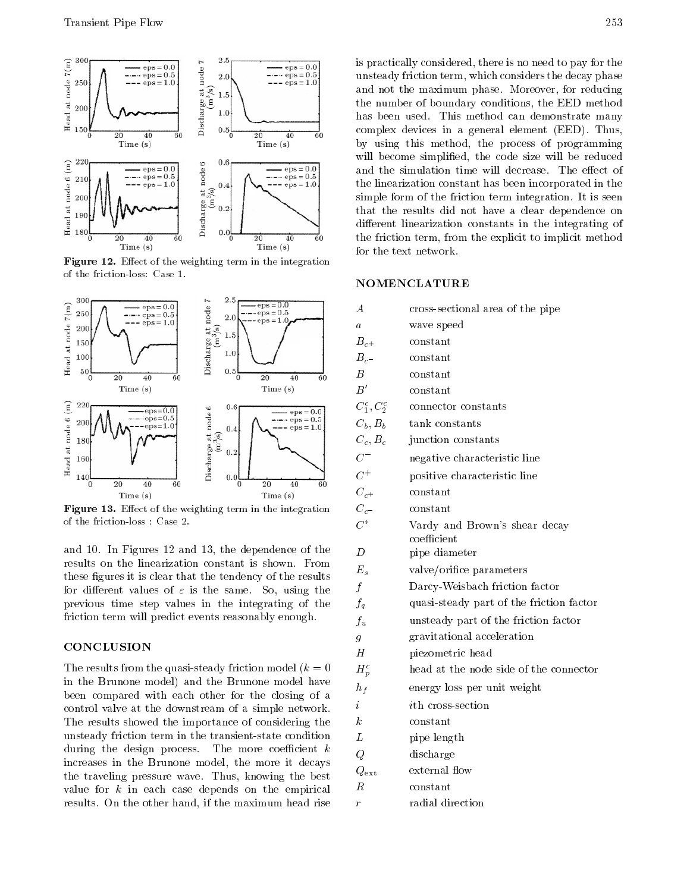

 $-$  -  $\blacksquare$  . Extermine the magnetic of the integration in the integration in the integration in the integration in of the friction-loss: Case 1.



Figure 13. Eect of the weighting term in the integration  $\mathbb{R}^n$ of the friction-loss : Case 2.

and 10. In Figures 12 and 13, the dependence of the results on the linearization constant is shown. From these figures it is clear that the tendency of the results for different values of  $\varepsilon$  is the same. So, using the previous time step values in the integrating of the friction term will predict events reasonably enough.

## **CONCLUSION**

The results from the quasi-steady friction model  $(k = 0)$ in the Brunone model) and the Brunone model have been compared with each other for the closing of <sup>a</sup> control valve at the downstream of a simple network. The results showed the importance of considering the unsteady friction term in the transient-state condition during the design process. The more coefficient  $k$ increases in the Brunone model, the more it decays the traveling pressure wave. Thus, knowing the best value for  $k$  in each case depends on the empirical results. On the other hand, if the maximum head rise is practically considered, there is no need to pay for the unsteady friction term, which considers the decay phase and not the maximum phase. Moreover, for reducing the number of boundary conditions, the EED method has been used. This method can demonstrate many complex devices in <sup>a</sup> general element (EED). Thus, by using this method, the process of programming will become simplified, the code size will be reduced and the simulation time will decrease. The effect of the linearization constant has been incorporated in the simple form of the friction term integration. It is seen that the results did not have <sup>a</sup> clear dependence on different linearization constants in the integrating of the friction term, from the explicit to implicit method for the text network.

## NOMENCLATURE

| A                                  | cross-sectional area of the pipe                        |
|------------------------------------|---------------------------------------------------------|
| $\overline{a}$                     | wave speed                                              |
| $B_{c+}$                           | constant                                                |
| $B_c$                              | $\begin{smallmatrix} \text{constant} \end{smallmatrix}$ |
| $\boldsymbol{B}$                   | $\rm constant$                                          |
| $B^{\prime}$                       | $\rm constant$                                          |
| $\mathcal{C}^c_1, \mathcal{C}^c_2$ | connector constants                                     |
| $C_b, B_b$                         | tank constants                                          |
| $C_c, B_c$                         | junction constants                                      |
| $\overline{C}$                     | negative characteristic line                            |
| $C^+$                              | positive characteristic line                            |
| $\ensuremath{C}_{c^+}$             | $\rm constant$                                          |
| $\boldsymbol{C}_c$                 | $\rm constant$                                          |
| $C^*$                              | Vardy and Brown's shear decay<br>$_{\rm coefficient}$   |
| D                                  | pipe diameter                                           |
| $E_s$                              | valve/orifice parameters                                |
| $\boldsymbol{f}$                   | Darcy-Weisbach friction factor                          |
| $f_q$                              | quasi-steady part of the friction factor                |
| $f_u$                              | unsteady part of the friction factor                    |
| $\overline{g}$                     | gravitational acceleration                              |
| $\boldsymbol{H}$                   | piezometric head                                        |
| $H_p^c$                            | head at the node side of the connector                  |
| $h_f$                              | energy loss per unit weight                             |
| $\boldsymbol{i}$                   | $i$ th cross-section                                    |
| $\boldsymbol{k}$                   | $\begin{smallmatrix} \text{constant} \end{smallmatrix}$ |
| L                                  | pipe length                                             |
| Q                                  | discharge                                               |
| $Q_{\rm ext}$                      | external flow                                           |
| $\boldsymbol{R}$                   | $\begin{smallmatrix} \text{constant} \end{smallmatrix}$ |
| r                                  | radial direction                                        |